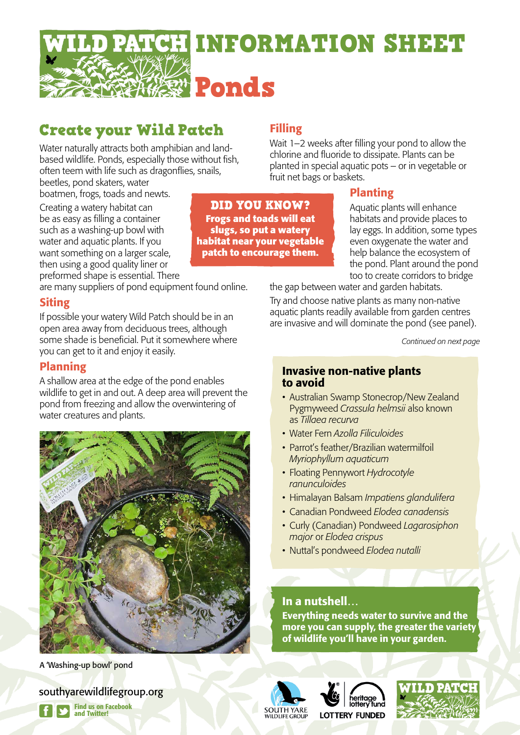

DID YOU KNOW? **Frogs and toads will eat slugs, so put a watery habitat near your vegetable patch to encourage them.**

# Create your Wild Patch

Water naturally attracts both amphibian and landbased wildlife. Ponds, especially those without fish, often teem with life such as dragonflies, snails,

beetles, pond skaters, water boatmen, frogs, toads and newts.

Creating a watery habitat can be as easy as filling a container such as a washing-up bowl with water and aquatic plants. If you want something on a larger scale, then using a good quality liner or preformed shape is essential. There

are many suppliers of pond equipment found online.

#### Siting

If possible your watery Wild Patch should be in an open area away from deciduous trees, although some shade is beneficial. Put it somewhere where you can get to it and enjoy it easily.

### Planning

A shallow area at the edge of the pond enables wildlife to get in and out. A deep area will prevent the pond from freezing and allow the overwintering of water creatures and plants.



A 'Washing-up bowl' pond

southyarewildlifegroup.org

Find us on Facebook and Twitter!

## Filling

Wait 1–2 weeks after filling your pond to allow the chlorine and fluoride to dissipate. Plants can be planted in special aquatic pots – or in vegetable or fruit net bags or baskets.

### Planting

Aquatic plants will enhance habitats and provide places to lay eggs. In addition, some types even oxygenate the water and help balance the ecosystem of the pond. Plant around the pond too to create corridors to bridge

the gap between water and garden habitats.

Try and choose native plants as many non-native aquatic plants readily available from garden centres are invasive and will dominate the pond (see panel).

*Continued on next page*

#### Invasive non-native plants to avoid

- Australian Swamp Stonecrop/New Zealand Pygmyweed *Crassula helmsii* also known as *Tillaea recurva*
- • Water Fern *Azolla Filiculoides*
- Parrot's feather/Brazilian watermilfoil *Myriophyllum aquaticum*
- • Floating Pennywort *Hydrocotyle ranunculoides*
- • Himalayan Balsam *Impatiens glandulifera*
- • Canadian Pondweed *Elodea canadensis*
- • Curly (Canadian) Pondweed *Lagarosiphon major* or *Elodea crispus*
- • Nuttal's pondweed *Elodea nutalli*

### In a nutshell…

Everything needs water to survive and the more you can supply, the greater the variety of wildlife you'll have in your garden.